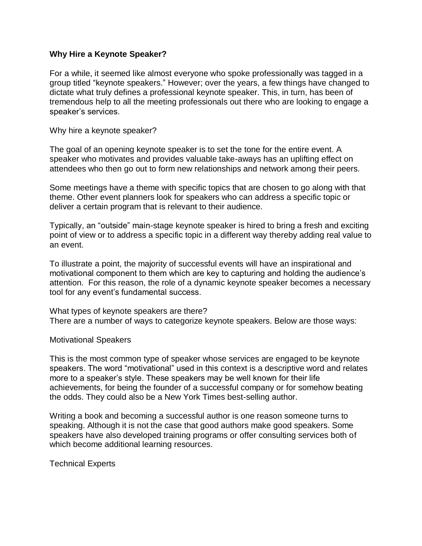## **Why Hire a Keynote Speaker?**

For a while, it seemed like almost everyone who spoke professionally was tagged in a group titled "keynote speakers." However; over the years, a few things have changed to dictate what truly defines a professional keynote speaker. This, in turn, has been of tremendous help to all the meeting professionals out there who are looking to engage a speaker's services.

Why hire a keynote speaker?

The goal of an opening keynote speaker is to set the tone for the entire event. A speaker who motivates and provides valuable take-aways has an uplifting effect on attendees who then go out to form new relationships and network among their peers.

Some meetings have a theme with specific topics that are chosen to go along with that theme. Other event planners look for speakers who can address a specific topic or deliver a certain program that is relevant to their audience.

Typically, an "outside" main-stage keynote speaker is hired to bring a fresh and exciting point of view or to address a specific topic in a different way thereby adding real value to an event.

To illustrate a point, the majority of successful events will have an inspirational and motivational component to them which are key to capturing and holding the audience's attention. For this reason, the role of a dynamic keynote speaker becomes a necessary tool for any event's fundamental success.

What types of keynote speakers are there? There are a number of ways to categorize keynote speakers. Below are those ways:

## Motivational Speakers

This is the most common type of speaker whose services are engaged to be keynote speakers. The word "motivational" used in this context is a descriptive word and relates more to a speaker's style. These speakers may be well known for their life achievements, for being the founder of a successful company or for somehow beating the odds. They could also be a New York Times best-selling author.

Writing a book and becoming a successful author is one reason someone turns to speaking. Although it is not the case that good authors make good speakers. Some speakers have also developed training programs or offer consulting services both of which become additional learning resources.

Technical Experts